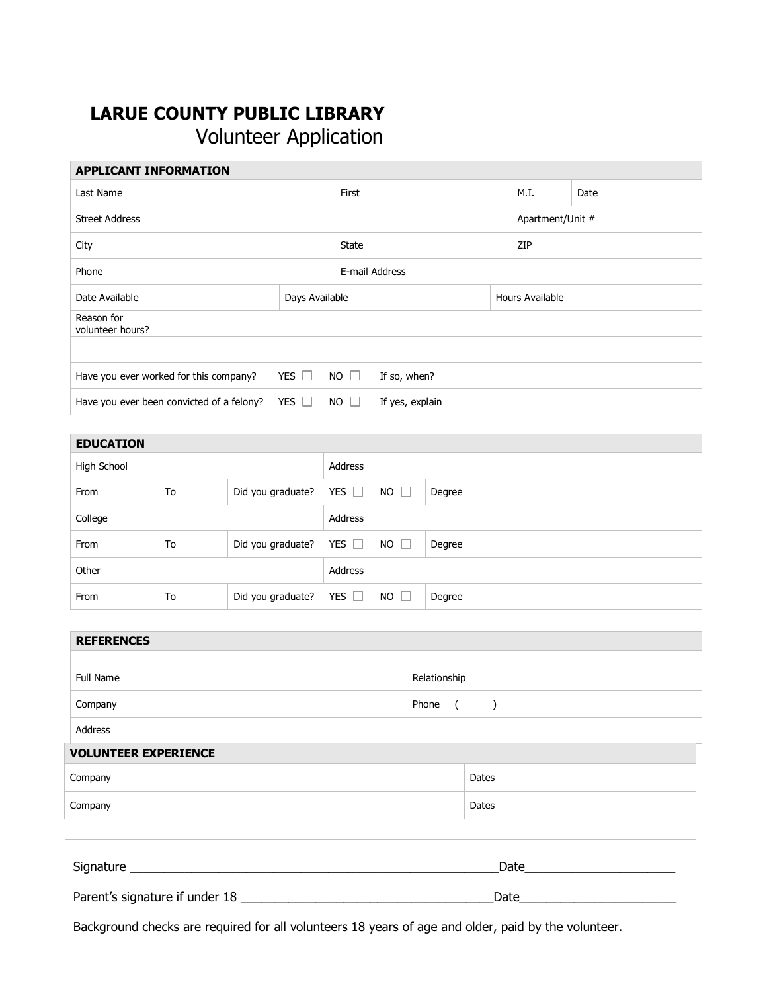## **LARUE COUNTY PUBLIC LIBRARY** Volunteer Application

| <b>APPLICANT INFORMATION</b>              |                |                |                 |                 |      |                  |  |
|-------------------------------------------|----------------|----------------|-----------------|-----------------|------|------------------|--|
| Last Name                                 |                | First          |                 |                 | M.I. | Date             |  |
| <b>Street Address</b>                     |                |                |                 |                 |      | Apartment/Unit # |  |
| City                                      |                | <b>State</b>   |                 |                 | ZIP  |                  |  |
| Phone                                     |                | E-mail Address |                 |                 |      |                  |  |
| Date Available                            | Days Available |                |                 | Hours Available |      |                  |  |
| Reason for<br>volunteer hours?            |                |                |                 |                 |      |                  |  |
|                                           |                |                |                 |                 |      |                  |  |
| Have you ever worked for this company?    | YES $\Box$     | $NO$ $\Box$    | If so, when?    |                 |      |                  |  |
| Have you ever been convicted of a felony? | YES $\Box$     | $NO$ $\Box$    | If yes, explain |                 |      |                  |  |

| <b>EDUCATION</b> |    |                   |            |             |        |
|------------------|----|-------------------|------------|-------------|--------|
| High School      |    |                   | Address    |             |        |
| From             | To | Did you graduate? | YES $\Box$ | $NO$ $\Box$ | Degree |
| College          |    |                   | Address    |             |        |
| From             | To | Did you graduate? | YES $\Box$ | $NO$ $\Box$ | Degree |
| Other            |    |                   | Address    |             |        |
| From             | To | Did you graduate? | YES $\Box$ | $NO$ $\Box$ | Degree |

| <b>REFERENCES</b>              |                  |  |  |  |  |
|--------------------------------|------------------|--|--|--|--|
|                                |                  |  |  |  |  |
| <b>Full Name</b>               | Relationship     |  |  |  |  |
| Company                        | Phone ()         |  |  |  |  |
| Address                        |                  |  |  |  |  |
| <b>VOLUNTEER EXPERIENCE</b>    |                  |  |  |  |  |
| Company                        | Dates            |  |  |  |  |
| Company                        | Dates            |  |  |  |  |
|                                |                  |  |  |  |  |
|                                | Date <b>Date</b> |  |  |  |  |
| Parent's signature if under 18 | Date             |  |  |  |  |

Background checks are required for all volunteers 18 years of age and older, paid by the volunteer.